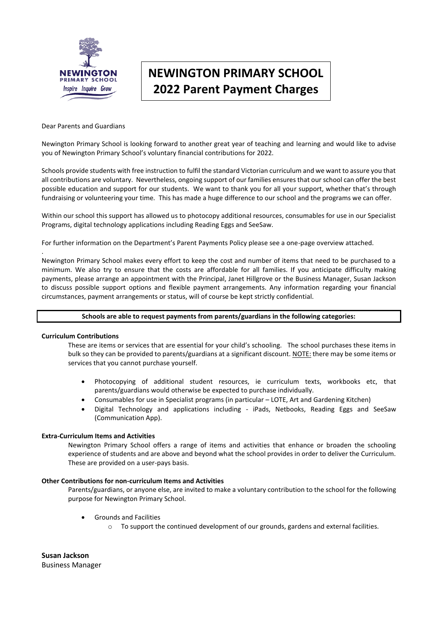

# **NEWINGTON PRIMARY SCHOOL 2022 Parent Payment Charges**

#### Dear Parents and Guardians

Newington Primary School is looking forward to another great year of teaching and learning and would like to advise you of Newington Primary School's voluntary financial contributions for 2022.

Schools provide students with free instruction to fulfil the standard Victorian curriculum and we want to assure you that all contributions are voluntary. Nevertheless, ongoing support of our families ensures that our school can offer the best possible education and support for our students. We want to thank you for all your support, whether that's through fundraising or volunteering your time. This has made a huge difference to our school and the programs we can offer.

Within our school this support has allowed us to photocopy additional resources, consumables for use in our Specialist Programs, digital technology applications including Reading Eggs and SeeSaw.

For further information on the Department's Parent Payments Policy please see a one-page overview attached.

Newington Primary School makes every effort to keep the cost and number of items that need to be purchased to a minimum. We also try to ensure that the costs are affordable for all families. If you anticipate difficulty making payments, please arrange an appointment with the Principal, Janet Hillgrove or the Business Manager, Susan Jackson to discuss possible support options and flexible payment arrangements. Any information regarding your financial circumstances, payment arrangements or status, will of course be kept strictly confidential.

### **Schools are able to request payments from parents/guardians in the following categories:**

#### **Curriculum Contributions**

.

These are items or services that are essential for your child's schooling. The school purchases these items in bulk so they can be provided to parents/guardians at a significant discount. NOTE: there may be some items or services that you cannot purchase yourself.

- Photocopying of additional student resources, ie curriculum texts, workbooks etc, that parents/guardians would otherwise be expected to purchase individually.
- Consumables for use in Specialist programs (in particular LOTE, Art and Gardening Kitchen)
- Digital Technology and applications including iPads, Netbooks, Reading Eggs and SeeSaw (Communication App).

#### **Extra-Curriculum Items and Activities**

Newington Primary School offers a range of items and activities that enhance or broaden the schooling experience of students and are above and beyond what the school provides in order to deliver the Curriculum. These are provided on a user-pays basis.

#### **Other Contributions for non-curriculum Items and Activities**

Parents/guardians, or anyone else, are invited to make a voluntary contribution to the school for the following purpose for Newington Primary School.

- Grounds and Facilities
	- $\circ$  To support the continued development of our grounds, gardens and external facilities.

**Susan Jackson** Business Manager